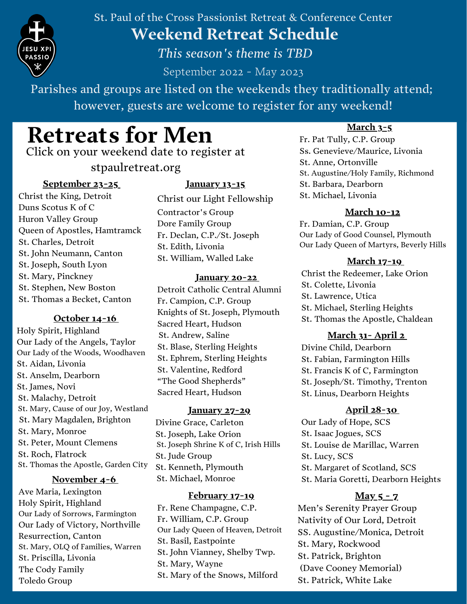

St. Paul of the Cross Passionist Retreat & Conference Center **Weekend Retreat Schedule**

*This season's theme is TBD*

September 2022 - May 2023

Parishes and groups are listed on the weekends they traditionally attend; however, guests are welcome to register for any weekend!

# **Retreats for Men**

Click on your weekend date to register at

stpaulretreat.org

# **[September](https://www.stpaulretreat.org/event/mens-retreat-weekend-3/) 23-25**

Christ the King, Detroit Duns Scotus K of C Huron Valley Group Queen of Apostles, Hamtramck St. Charles, Detroit St. John Neumann, Canton St. Joseph, South Lyon St. Mary, Pinckney St. Stephen, New Boston St. Thomas a Becket, Canton

# **[October](https://www.stpaulretreat.org/event/mens-retreat-weekend-4/) 14-16**

Holy Spirit, Highland Our Lady of the Angels, Taylor Our Lady of the Woods, Woodhaven St. Aidan, Livonia St. Anselm, Dearborn St. James, Novi St. Malachy, Detroit St. Mary, Cause of our Joy, Westland St. Mary Magdalen, Brighton St. Mary, Monroe St. Peter, Mount Clemens St. Roch, Flatrock St. Thomas the Apostle, Garden City

# **[November](https://www.stpaulretreat.org/event/mens-retreat-weekend-9/) 4-6**

Ave Maria, Lexington Holy Spirit, Highland Our Lady of Sorrows, Farmington Our Lady of Victory, Northville Resurrection, Canton St. Mary, OLQ of Families, Warren St. Priscilla, Livonia The Cody Family Toledo Group

# **[January](https://www.stpaulretreat.org/event/mens-retreat-weekend-14/) 13-15**

Christ our Light Fellowship Contractor's Group Dore Family Group Fr. Declan, C.P./St. Joseph St. Edith, Livonia St. William, Walled Lake

#### **[January](https://www.stpaulretreat.org/event/mens-weekend-15/) 20-2[2](https://www.stpaulretreat.org/event/mens-weekend-15/)**

Detroit Catholic Central Alumni Fr. Campion, C.P. Group Knights of St. Joseph, Plymouth Sacred Heart, Hudson St. Andrew, Saline St. Blase, Sterling Heights St. Ephrem, Sterling Heights St. Valentine, Redford "The Good Shepherds" Sacred Heart, Hudson

#### **[January](https://www.stpaulretreat.org/event/mens-weekend-16/) 27-29**

Divine Grace, Carleton St. Joseph, Lake Orion St. Joseph Shrine K of C, Irish Hills St. Jude Group St. Kenneth, Plymouth St. Michael, Monroe

#### **[February](https://www.stpaulretreat.org/event/mens-weekend-17/) 17-19**

Fr. Rene Champagne, C.P. Fr. William, C.P. Group Our Lady Queen of Heaven, Detroit St. Basil, Eastpointe St. John Vianney, Shelby Twp. St. Mary, Wayne St. Mary of the Snows, Milford

# **[March](https://www.stpaulretreat.org/event/mens-weekend-20/) 3-5**

Fr. Pat Tully, C.P. Group Ss. Genevieve/Maurice, Livonia St. Anne, Ortonville St. Augustine/Holy Family, Richmond St. Barbara, Dearborn St. Michael, Livonia

# **[March](https://www.stpaulretreat.org/event/mens-weekend-21/) 10-12**

Fr. Damian, C.P. Group Our Lady of Good Counsel, Plymouth Our Lady Queen of Martyrs, Beverly Hills

# **[March](https://www.stpaulretreat.org/event/mens-weekend-22/) 17-1[9](https://www.stpaulretreat.org/event/mens-weekend-22/)**

Christ the Redeemer, Lake Orion St. Colette, Livonia St. Lawrence, Utica St. Michael, Sterling Heights St. Thomas the Apostle, Chaldean

# **[March](https://www.stpaulretreat.org/event/mens-weekend-24/) 31- April 2**

Divine Child, Dearborn St. Fabian, Farmington Hills St. Francis K of C, Farmington St. Joseph/St. Timothy, Trenton St. Linus, Dearborn Heights

# **April [28-30](https://www.stpaulretreat.org/event/mens-weekend-26/)**

Our Lady of Hope, SCS St. Isaac Jogues, SCS St. Louise de Marillac, Warren St. Lucy, SCS St. Margaret of Scotland, SCS St. Maria Goretti, Dearborn Heights

# **[May](https://www.stpaulretreat.org/event/mens-weekend-27/) 5 - 7**

Men's Serenity Prayer Group Nativity of Our Lord, Detroit SS. Augustine/Monica, Detroit St. Mary, Rockwood St. Patrick, Brighton (Dave Cooney Memorial) St. Patrick, White Lake